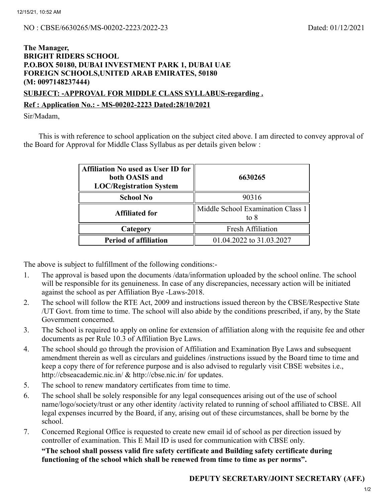### **The Manager, BRIGHT RIDERS SCHOOL P.O.BOX 50180, DUBAI INVESTMENT PARK 1, DUBAI UAE FOREIGN SCHOOLS,UNITED ARAB EMIRATES, 50180 (M: 0097148237444)**

### **SUBJECT: -APPROVAL FOR MIDDLE CLASS SYLLABUS-regarding . Ref : Application No.: - MS-00202-2223 Dated:28/10/2021**

Sir/Madam,

This is with reference to school application on the subject cited above. I am directed to convey approval of the Board for Approval for Middle Class Syllabus as per details given below :

| <b>Affiliation No used as User ID for</b><br>both OASIS and<br><b>LOC/Registration System</b> | 6630265                                   |  |  |
|-----------------------------------------------------------------------------------------------|-------------------------------------------|--|--|
| <b>School No</b>                                                                              | 90316                                     |  |  |
| <b>Affiliated for</b>                                                                         | Middle School Examination Class 1<br>to 8 |  |  |
| Category                                                                                      | Fresh Affiliation                         |  |  |
| <b>Period of affiliation</b>                                                                  | 01.04.2022 to 31.03.2027                  |  |  |

The above is subject to fulfillment of the following conditions:-

- 1. The approval is based upon the documents /data/information uploaded by the school online. The school will be responsible for its genuineness. In case of any discrepancies, necessary action will be initiated against the school as per Affiliation Bye -Laws-2018.
- 2. The school will follow the RTE Act, 2009 and instructions issued thereon by the CBSE/Respective State /UT Govt. from time to time. The school will also abide by the conditions prescribed, if any, by the State Government concerned.
- 3. The School is required to apply on online for extension of affiliation along with the requisite fee and other documents as per Rule 10.3 of Affiliation Bye Laws.
- 4. The school should go through the provision of Affiliation and Examination Bye Laws and subsequent amendment therein as well as circulars and guidelines /instructions issued by the Board time to time and keep a copy there of for reference purpose and is also advised to regularly visit CBSE websites i.e., http://cbseacademic.nic.in/ & http://cbse.nic.in/ for updates.
- 5. The school to renew mandatory certificates from time to time.
- 6. The school shall be solely responsible for any legal consequences arising out of the use of school name/logo/society/trust or any other identity /activity related to running of school affiliated to CBSE. All legal expenses incurred by the Board, if any, arising out of these circumstances, shall be borne by the school.
- 7. Concerned Regional Office is requested to create new email id of school as per direction issued by controller of examination. This E Mail ID is used for communication with CBSE only.

#### **"The school shall possess valid fire safety certificate and Building safety certificate during functioning of the school which shall be renewed from time to time as per norms".**

# **DEPUTY SECRETARY/JOINT SECRETARY (AFF.)**